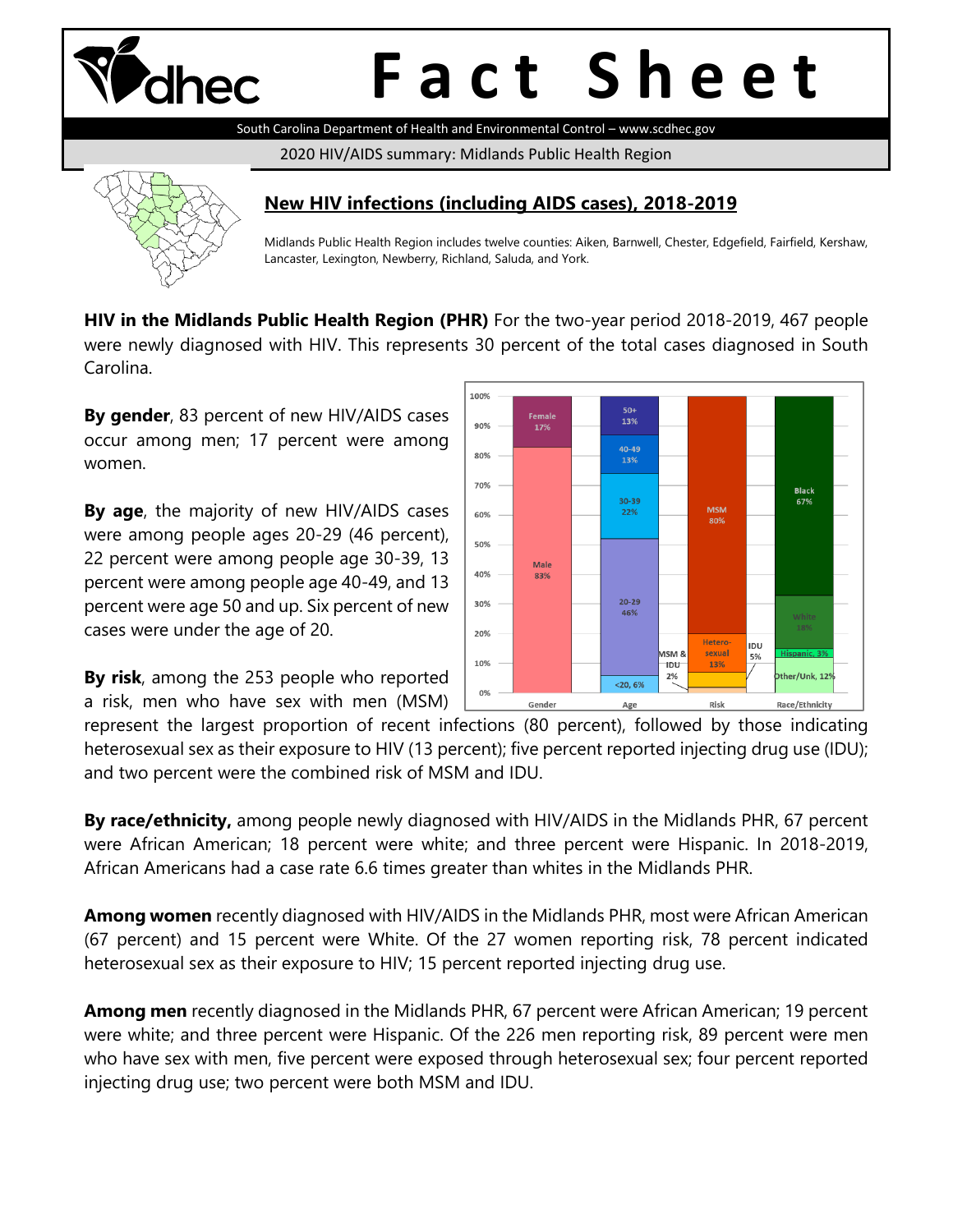

# **F a c t S h e e t**

South Carolina Department of Health and Environmental Control – www.scdhec.gov

2020 HIV/AIDS summary: Midlands Public Health Region



#### **New HIV infections (including AIDS cases), 2018-2019**

Midlands Public Health Region includes twelve counties: Aiken, Barnwell, Chester, Edgefield, Fairfield, Kershaw, Lancaster, Lexington, Newberry, Richland, Saluda, and York.

**HIV in the Midlands Public Health Region (PHR)** For the two-year period 2018-2019, 467 people were newly diagnosed with HIV. This represents 30 percent of the total cases diagnosed in South Carolina.

**By gender**, 83 percent of new HIV/AIDS cases occur among men; 17 percent were among women.

**By age**, the majority of new HIV/AIDS cases were among people ages 20-29 (46 percent), 22 percent were among people age 30-39, 13 percent were among people age 40-49, and 13 percent were age 50 and up. Six percent of new cases were under the age of 20.

**By risk**, among the 253 people who reported a risk, men who have sex with men (MSM)



represent the largest proportion of recent infections (80 percent), followed by those indicating heterosexual sex as their exposure to HIV (13 percent); five percent reported injecting drug use (IDU); and two percent were the combined risk of MSM and IDU.

**By race/ethnicity,** among people newly diagnosed with HIV/AIDS in the Midlands PHR, 67 percent were African American; 18 percent were white; and three percent were Hispanic. In 2018-2019, African Americans had a case rate 6.6 times greater than whites in the Midlands PHR.

**Among women** recently diagnosed with HIV/AIDS in the Midlands PHR, most were African American (67 percent) and 15 percent were White. Of the 27 women reporting risk, 78 percent indicated heterosexual sex as their exposure to HIV; 15 percent reported injecting drug use.

**Among men** recently diagnosed in the Midlands PHR, 67 percent were African American; 19 percent were white; and three percent were Hispanic. Of the 226 men reporting risk, 89 percent were men who have sex with men, five percent were exposed through heterosexual sex; four percent reported injecting drug use; two percent were both MSM and IDU.